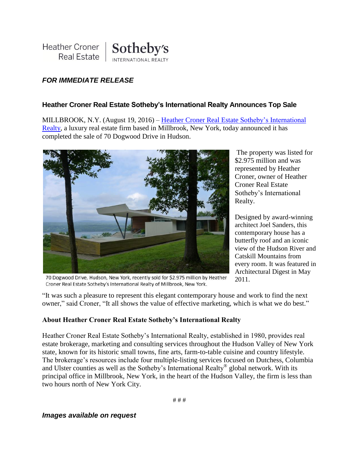

## *FOR IMMEDIATE RELEASE*

## **Heather Croner Real Estate Sotheby's International Realty Announces Top Sale**

MILLBROOK, N.Y. (August 19, 2016) – [Heather Croner Real Estate](http://www.hcronerrealestate.com/eng) Sotheby's International [Realty,](http://www.hcronerrealestate.com/eng) a luxury real estate firm based in Millbrook, New York, today announced it has completed the sale of 70 Dogwood Drive in Hudson.



70 Dogwood Drive, Hudson, New York, recently sold for \$2.975 million by Heather Croner Real Estate Sotheby's International Realty of Millbrook, New York.

The property was listed for \$2.975 million and was represented by Heather Croner, owner of Heather Croner Real Estate Sotheby's International Realty.

Designed by award-winning architect Joel Sanders, this contemporary house has a butterfly roof and an iconic view of the Hudson River and Catskill Mountains from every room. It was featured in Architectural Digest in May 2011.

"It was such a pleasure to represent this elegant contemporary house and work to find the next owner," said Croner, "It all shows the value of effective marketing, which is what we do best."

## **About Heather Croner Real Estate Sotheby's International Realty**

Heather Croner Real Estate Sotheby's International Realty, established in 1980, provides real estate brokerage, marketing and consulting services throughout the Hudson Valley of New York state, known for its historic small towns, fine arts, farm-to-table cuisine and country lifestyle. The brokerage's resources include four multiple-listing services focused on Dutchess, Columbia and Ulster counties as well as the Sotheby's International Realty® global network. With its principal office in Millbrook, New York, in the heart of the Hudson Valley, the firm is less than two hours north of New York City.

*Images available on request*